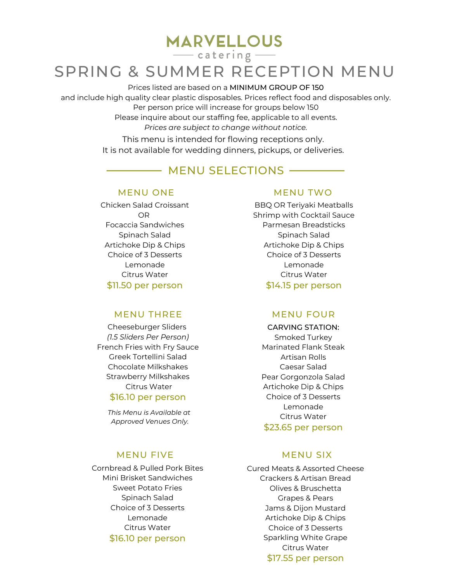**MARVELLOUS** 

 $\frac{1}{\sqrt{1-\frac{1}{2}}}$  catering  $\frac{1}{\sqrt{1-\frac{1}{2}}}$ 

# SPRING & SUMMER RECEPTION MENU

### Prices listed are based on a MINIMUM GROUP OF 150

and include high quality clear plastic disposables. Prices reflect food and disposables only. Per person price will increase for groups below 150

Please inquire about our staffing fee, applicable to all events.

*Prices are subject to change without notice.*

This menu is intended for flowing receptions only. It is not available for wedding dinners, pickups, or deliveries.

## - MENU SELECTIONS

Chicken Salad Croissant OR Focaccia Sandwiches Spinach Salad Artichoke Dip & Chips Choice of 3 Desserts Lemonade Citrus Water \$11.50 per person

## MENU THREE MENU FOUR

Cheeseburger Sliders *(1.5 Sliders Per Person)* French Fries with Fry Sauce Greek Tortellini Salad Chocolate Milkshakes Strawberry Milkshakes Citrus Water

\$16.10 per person

*This Menu is Available at Approved Venues Only.*

### MENU FIVE MENU SIX

Cornbread & Pulled Pork Bites Mini Brisket Sandwiches Sweet Potato Fries Spinach Salad Choice of 3 Desserts Lemonade Citrus Water \$16.10 per person

### MENU ONE MENU TWO

BBQ OR Teriyaki Meatballs Shrimp with Cocktail Sauce Parmesan Breadsticks Spinach Salad Artichoke Dip & Chips Choice of 3 Desserts Lemonade Citrus Water \$14.15 per person

CARVING STATION: Smoked Turkey Marinated Flank Steak Artisan Rolls Caesar Salad Pear Gorgonzola Salad Artichoke Dip & Chips Choice of 3 Desserts Lemonade Citrus Water \$23.65 per person

Cured Meats & Assorted Cheese Crackers & Artisan Bread Olives & Bruschetta Grapes & Pears Jams & Dijon Mustard Artichoke Dip & Chips Choice of 3 Desserts Sparkling White Grape Citrus Water \$17.55 per person